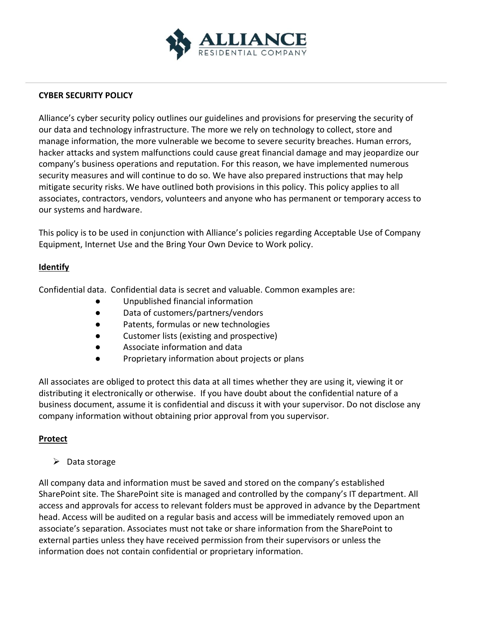

### **CYBER SECURITY POLICY**

Alliance's cyber security policy outlines our guidelines and provisions for preserving the security of our data and technology infrastructure. The more we rely on technology to collect, store and manage information, the more vulnerable we become to severe security breaches. Human errors, hacker attacks and system malfunctions could cause great financial damage and may jeopardize our company's business operations and reputation. For this reason, we have implemented numerous security measures and will continue to do so. We have also prepared instructions that may help mitigate security risks. We have outlined both provisions in this policy. This policy applies to all associates, contractors, vendors, volunteers and anyone who has permanent or temporary access to our systems and hardware.

This policy is to be used in conjunction with Alliance's policies regarding Acceptable Use of Company Equipment, Internet Use and the Bring Your Own Device to Work policy.

#### **Identify**

Confidential data. Confidential data is secret and valuable. Common examples are:

- Unpublished financial information
- Data of customers/partners/vendors
- Patents, formulas or new technologies
- Customer lists (existing and prospective)
- Associate information and data
- Proprietary information about projects or plans

All associates are obliged to protect this data at all times whether they are using it, viewing it or distributing it electronically or otherwise. If you have doubt about the confidential nature of a business document, assume it is confidential and discuss it with your supervisor. Do not disclose any company information without obtaining prior approval from you supervisor.

## **Protect**

 $\triangleright$  Data storage

All company data and information must be saved and stored on the company's established SharePoint site. The SharePoint site is managed and controlled by the company's IT department. All access and approvals for access to relevant folders must be approved in advance by the Department head. Access will be audited on a regular basis and access will be immediately removed upon an associate's separation. Associates must not take or share information from the SharePoint to external parties unless they have received permission from their supervisors or unless the information does not contain confidential or proprietary information.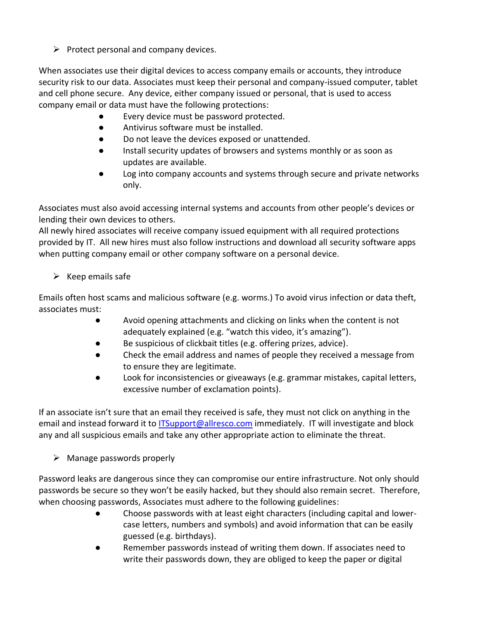$\triangleright$  Protect personal and company devices.

When associates use their digital devices to access company emails or accounts, they introduce security risk to our data. Associates must keep their personal and company-issued computer, tablet and cell phone secure. Any device, either company issued or personal, that is used to access company email or data must have the following protections:

- Every device must be password protected.
- Antivirus software must be installed.
- Do not leave the devices exposed or unattended.
- Install security updates of browsers and systems monthly or as soon as updates are available.
- Log into company accounts and systems through secure and private networks only.

Associates must also avoid accessing internal systems and accounts from other people's devices or lending their own devices to others.

All newly hired associates will receive company issued equipment with all required protections provided by IT. All new hires must also follow instructions and download all security software apps when putting company email or other company software on a personal device.

# $\triangleright$  Keep emails safe

Emails often host scams and malicious software (e.g. worms.) To avoid virus infection or data theft, associates must:

- Avoid opening attachments and clicking on links when the content is not adequately explained (e.g. "watch this video, it's amazing").
- Be suspicious of clickbait titles (e.g. offering prizes, advice).
- Check the email address and names of people they received a message from to ensure they are legitimate.
- Look for inconsistencies or giveaways (e.g. grammar mistakes, capital letters, excessive number of exclamation points).

If an associate isn't sure that an email they received is safe, they must not click on anything in the email and instead forward it to [ITSupport@allresco.com](mailto:ITSupport@allresco.com) immediately. IT will investigate and block any and all suspicious emails and take any other appropriate action to eliminate the threat.

 $\triangleright$  Manage passwords properly

Password leaks are dangerous since they can compromise our entire infrastructure. Not only should passwords be secure so they won't be easily hacked, but they should also remain secret. Therefore, when choosing passwords, Associates must adhere to the following guidelines:

- Choose passwords with at least eight characters (including capital and lowercase letters, numbers and symbols) and avoid information that can be easily guessed (e.g. birthdays).
- Remember passwords instead of writing them down. If associates need to write their passwords down, they are obliged to keep the paper or digital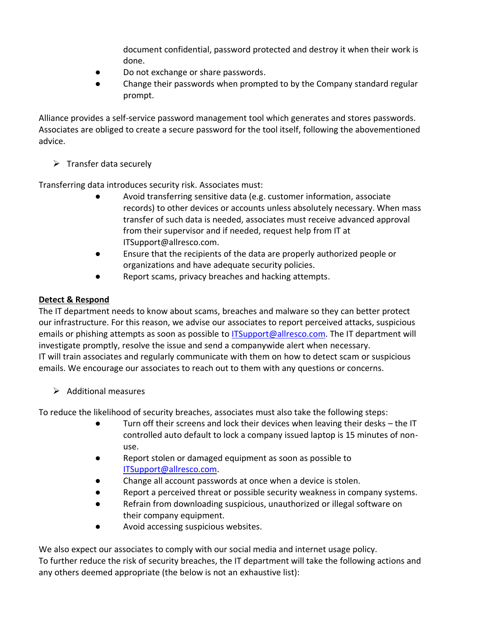document confidential, password protected and destroy it when their work is done.

- Do not exchange or share passwords.
- Change their passwords when prompted to by the Company standard regular prompt.

Alliance provides a self-service password management tool which generates and stores passwords. Associates are obliged to create a secure password for the tool itself, following the abovementioned advice.

 $\triangleright$  Transfer data securely

Transferring data introduces security risk. Associates must:

- Avoid transferring sensitive data (e.g. customer information, associate records) to other devices or accounts unless absolutely necessary. When mass transfer of such data is needed, associates must receive advanced approval from their supervisor and if needed, request help from IT at ITSupport@allresco.com.
- Ensure that the recipients of the data are properly authorized people or organizations and have adequate security policies.
- Report scams, privacy breaches and hacking attempts.

## **Detect & Respond**

The IT department needs to know about scams, breaches and malware so they can better protect our infrastructure. For this reason, we advise our associates to report perceived attacks, suspicious emails or phishing attempts as soon as possible to [ITSupport@allresco.com.](mailto:ITSupport@allresco.com) The IT department will investigate promptly, resolve the issue and send a companywide alert when necessary. IT will train associates and regularly communicate with them on how to detect scam or suspicious emails. We encourage our associates to reach out to them with any questions or concerns.

 $\triangleright$  Additional measures

To reduce the likelihood of security breaches, associates must also take the following steps:

- Turn off their screens and lock their devices when leaving their desks the IT controlled auto default to lock a company issued laptop is 15 minutes of nonuse.
- Report stolen or damaged equipment as soon as possible to [ITSupport@allresco.com.](mailto:ITSupport@allresco.com)
- Change all account passwords at once when a device is stolen.
- Report a perceived threat or possible security weakness in company systems.
- Refrain from downloading suspicious, unauthorized or illegal software on their company equipment.
- Avoid accessing suspicious websites.

We also expect our associates to comply with our social media and internet usage policy. To further reduce the risk of security breaches, the IT department will take the following actions and any others deemed appropriate (the below is not an exhaustive list):